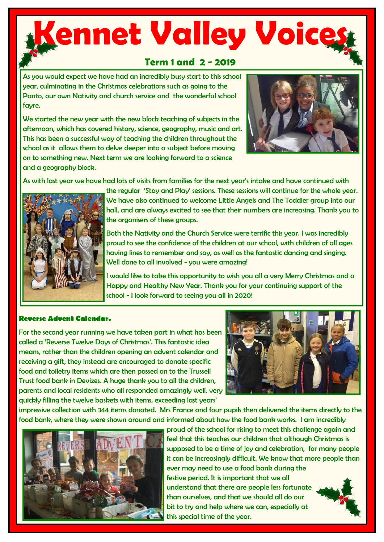# **Kennet Valley Voice**

### **Term 1 and 2 - 2019**

As you would expect we have had an incredibly busy start to this school year, culminating in the Christmas celebrations such as going to the Panto, our own Nativity and church service and the wonderful school fayre.

We started the new year with the new block teaching of subjects in the afternoon, which has covered history, science, geography, music and art. This has been a successful way of teaching the children throughout the school as it allows them to delve deeper into a subject before moving on to something new. Next term we are looking forward to a science and a geography block.



As with last year we have had lots of visits from families for the next year's intake and have continued with



the regular 'Stay and Play' sessions. These sessions will continue for the whole year. We have also continued to welcome Little Angels and The Toddler group into our hall, and are always excited to see that their numbers are increasing. Thank you to the organisers of these groups.

Both the Nativity and the Church Service were terrific this year. I was incredibly proud to see the confidence of the children at our school, with children of all ages having lines to remember and say, as well as the fantastic dancing and singing. Well done to all involved - you were amazing!

I would like to take this opportunity to wish you all a very Merry Christmas and a Happy and Healthy New Year. Thank you for your continuing support of the school - I look forward to seeing you all in 2020!

#### **Reverse Advent Calendar.**

For the second year running we have taken part in what has been called a 'Reverse Twelve Days of Christmas'. This fantastic idea means, rather than the children opening an advent calendar and receiving a gift, they instead are encouraged to donate specific food and toiletry items which are then passed on to the Trussell Trust food bank in Devizes. A huge thank you to all the children, parents and local residents who all responded amazingly well, very quickly filling the twelve baskets with items, exceeding last years'



impressive collection with 344 items donated. Mrs France and four pupils then delivered the items directly to the food bank, where they were shown around and informed about how the food bank works. I am incredibly



proud of the school for rising to meet this challenge again and feel that this teaches our children that although Christmas is supposed to be a time of joy and celebration, for many people it can be increasingly difficult. We know that more people than ever may need to use a food bank during the festive period. It is important that we all understand that there are people less fortunate than ourselves, and that we should all do our bit to try and help where we can, especially at this special time of the year.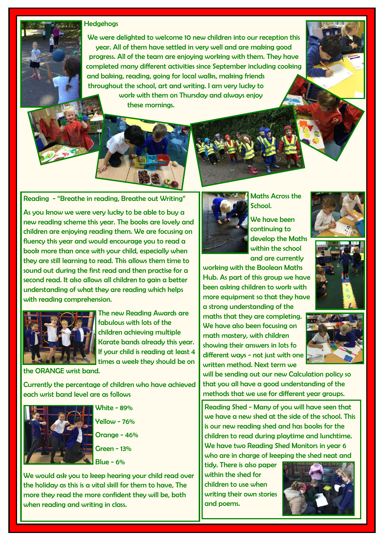#### **Hedgehogs**

We were delighted to welcome 10 new children into our reception this year. All of them have settled in very well and are making good progress. All of the team are enjoying working with them. They have completed many different activities since September including cooking and baking, reading, going for local walks, making friends throughout the school, art and writing. I am very lucky to work with them on Thursday and always enjoy these mornings.

#### Reading - "Breathe in reading, Breathe out Writing"

As you know we were very lucky to be able to buy a new reading scheme this year. The books are lovely and children are enjoying reading them. We are focusing on fluency this year and would encourage you to read a book more than once with your child, especially when they are still learning to read. This allows them time to sound out during the first read and then practise for a second read. It also allows all children to gain a better understanding of what they are reading which helps with reading comprehension.



The new Reading Awards are fabulous with lots of the children achieving multiple Karate bands already this year. If your child is reading at least 4 times a week they should be on

the ORANGE wrist band.

Currently the percentage of children who have achieved each wrist band level are as follows



White - 89% Yellow - 76% Orange - 46% Green - 13%

 $Blue - 6%$ 

We would ask you to keep hearing your child read over the holiday as this is a vital skill for them to have, The more they read the more confident they will be, both when reading and writing in class.



Maths Across the School.

We have been continuing to develop the Maths within the school and are currently

working with the Boolean Maths Hub. As part of this group we have been asking children to work with more equipment so that they have a strong understanding of the maths that they are completing. We have also been focusing on math mastery, with children showing their answers in lots fo different ways - not just with one written method. Next term we







will be sending out our new Calculation policy so that you all have a good understanding of the methods that we use for different year groups.

Reading Shed - Many of you will have seen that we have a new shed at the side of the school. This is our new reading shed and has books for the children to read during playtime and lunchtime. We have two Reading Shed Monitors in year 6 who are in charge of keeping the shed neat and

tidy. There is also paper within the shed for children to use when writing their own stories and poems.

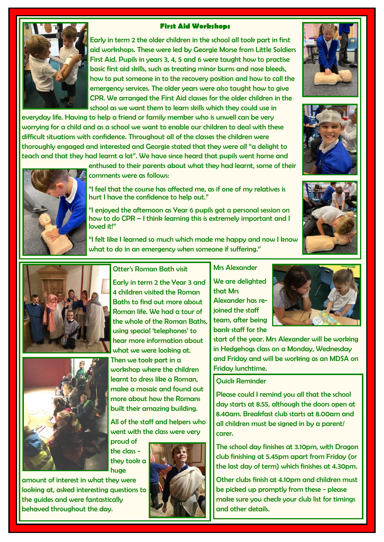#### **First Aid Workshops**



Early in term 2 the older children in the school all took part in first aid workshops. These were led by Georgie Morse from Little Soldiers First Aid. Pupils in years 3, 4, 5 and 6 were taught how to practise basic first aid skills, such as treating minor burns and nose bleeds, how to put someone in to the recovery position and how to call the emergency services. The older years were also taught how to give CPR. We arranged the First Aid classes for the older children in the school as we want them to learn skills which they could use in

everyday life. Having to help a friend or family member who is unwell can be very worrying for a child and as a school we want to enable our children to deal with these difficult situations with confidence. Throughout all of the classes the children were thoroughly engaged and interested and Georgie stated that they were all "a delight to teach and that they had learnt a lot". We have since heard that pupils went home and



enthused to their parents about what they had learnt, some of their comments were as follows:

"I feel that the course has affected me, as if one of my relatives is hurt I have the confidence to help out."

"I enjoyed the afternoon as Year 6 pupils got a personal session on how to do CPR – I think learning this is extremely important and I loved it!"

"I felt like I learned so much which made me happy and now I know what to do in an emergency when someone if suffering."





Otter's Roman Bath visit

Early in term 2 the Year 3 and 4 children visited the Roman Baths to find out more about Roman life. We had a tour of the whole of the Roman Baths, using special 'telephones' to hear more information about what we were looking at. Then we took part in a workshop where the children learnt to dress like a Roman, make a mosaic and found out more about how the Romans built their amazing building.

All of the staff and helpers who went with the class were very

proud of the class they took a huge

amount of interest in what they were looking at, asked interesting questions to the guides and were fantastically behaved throughout the day.



Mrs Alexander We are delighted

that Mrs Alexander has rejoined the staff team, after being bank staff for the



start of the year. Mrs Alexander will be working in Hedgehogs class on a Monday, Wednesday and Friday and will be working as an MDSA on Friday lunchtime.

#### Quick Reminder

Please could I remind you all that the school day starts at 8.55, although the doors open at 8.40am. Breakfast club starts at 8.00am and all children must be signed in by a parent/ carer.

The school day finishes at 3.10pm, with Dragon club finishing at 5.45pm apart from Friday (or the last day of term) which finishes at 4.30pm.

Other clubs finish at 4.10pm and children must be picked up promptly from these - please make sure you check your club list for timings and other details.